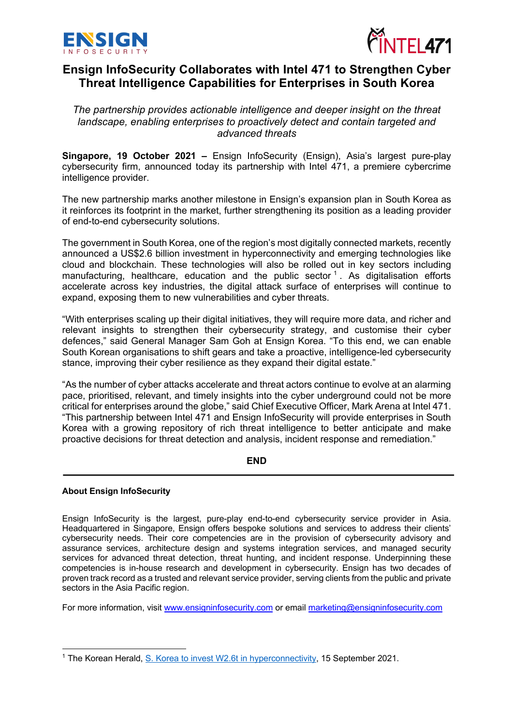



# **Ensign InfoSecurity Collaborates with Intel 471 to Strengthen Cyber Threat Intelligence Capabilities for Enterprises in South Korea**

*The partnership provides actionable intelligence and deeper insight on the threat landscape, enabling enterprises to proactively detect and contain targeted and advanced threats* 

**Singapore, 19 October 2021 –** Ensign InfoSecurity (Ensign), Asia's largest pure-play cybersecurity firm, announced today its partnership with Intel 471, a premiere cybercrime intelligence provider.

The new partnership marks another milestone in Ensign's expansion plan in South Korea as it reinforces its footprint in the market, further strengthening its position as a leading provider of end-to-end cybersecurity solutions.

The government in South Korea, one of the region's most digitally connected markets, recently announced a US\$2.6 billion investment in hyperconnectivity and emerging technologies like cloud and blockchain. These technologies will also be rolled out in key sectors including manufacturing, healthcare, education and the public sector  $1$ . As digitalisation efforts accelerate across key industries, the digital attack surface of enterprises will continue to expand, exposing them to new vulnerabilities and cyber threats.

"With enterprises scaling up their digital initiatives, they will require more data, and richer and relevant insights to strengthen their cybersecurity strategy, and customise their cyber defences," said General Manager Sam Goh at Ensign Korea. "To this end, we can enable South Korean organisations to shift gears and take a proactive, intelligence-led cybersecurity stance, improving their cyber resilience as they expand their digital estate."

"As the number of cyber attacks accelerate and threat actors continue to evolve at an alarming pace, prioritised, relevant, and timely insights into the cyber underground could not be more critical for enterprises around the globe," said Chief Executive Officer, Mark Arena at Intel 471. "This partnership between Intel 471 and Ensign InfoSecurity will provide enterprises in South Korea with a growing repository of rich threat intelligence to better anticipate and make proactive decisions for threat detection and analysis, incident response and remediation."

## **END**

## **About Ensign InfoSecurity**

Ensign InfoSecurity is the largest, pure-play end-to-end cybersecurity service provider in Asia. Headquartered in Singapore, Ensign offers bespoke solutions and services to address their clients' cybersecurity needs. Their core competencies are in the provision of cybersecurity advisory and assurance services, architecture design and systems integration services, and managed security services for advanced threat detection, threat hunting, and incident response. Underpinning these competencies is in-house research and development in cybersecurity. Ensign has two decades of proven track record as a trusted and relevant service provider, serving clients from the public and private sectors in the Asia Pacific region.

For more information, visit www.ensigninfosecurity.com or email marketing@ensigninfosecurity.com

<sup>&</sup>lt;sup>1</sup> The Korean Herald, S. Korea to invest W2.6t in hyperconnectivity, 15 September 2021.